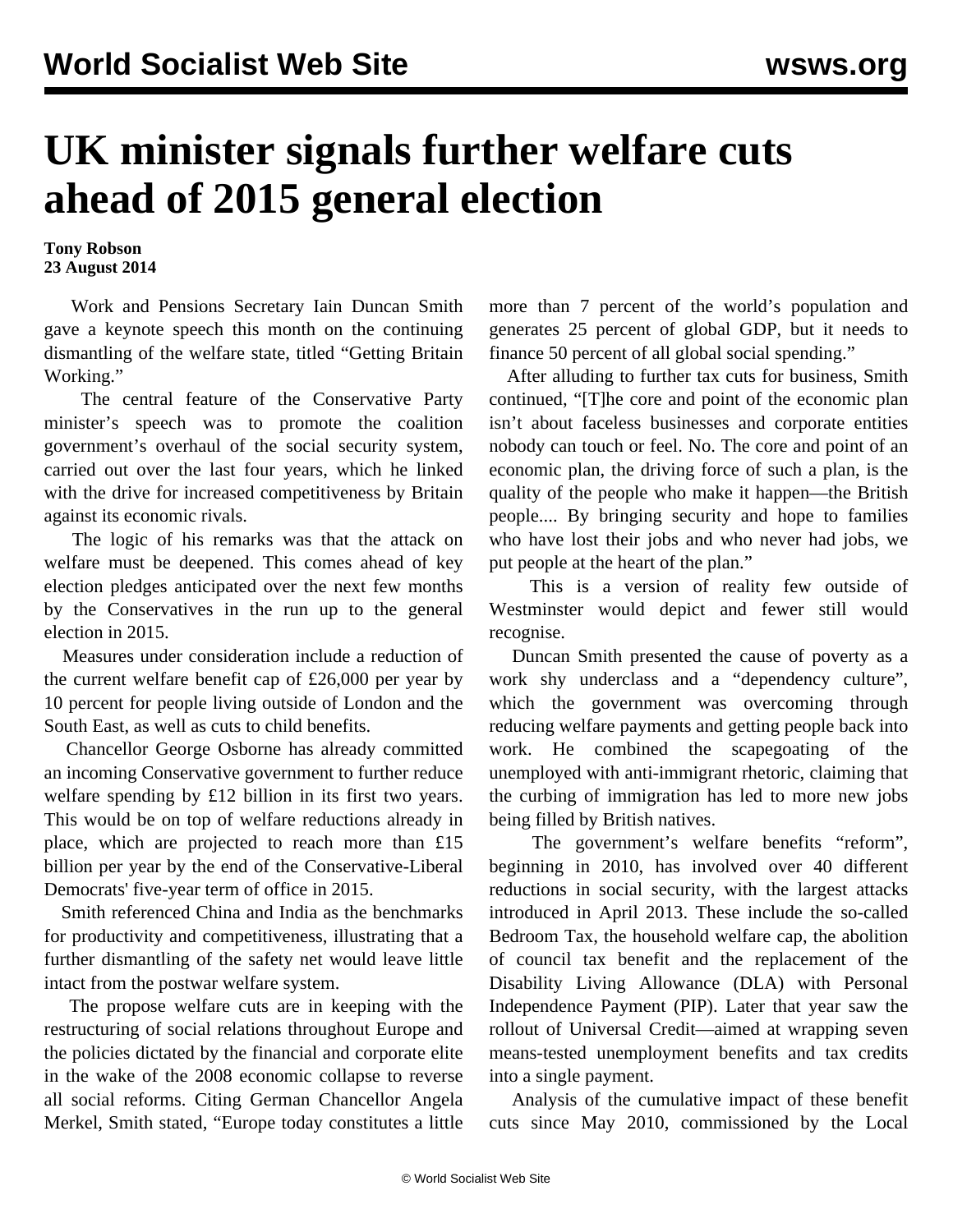## **UK minister signals further welfare cuts ahead of 2015 general election**

**Tony Robson 23 August 2014**

 Work and Pensions Secretary Iain Duncan Smith gave a keynote speech this month on the continuing dismantling of the welfare state, titled "Getting Britain Working."

 The central feature of the Conservative Party minister's speech was to promote the coalition government's overhaul of the social security system, carried out over the last four years, which he linked with the drive for increased competitiveness by Britain against its economic rivals.

 The logic of his remarks was that the attack on welfare must be deepened. This comes ahead of key election pledges anticipated over the next few months by the Conservatives in the run up to the general election in 2015.

 Measures under consideration include a reduction of the current welfare benefit cap of £26,000 per year by 10 percent for people living outside of London and the South East, as well as cuts to child benefits.

 Chancellor George Osborne has already committed an incoming Conservative government to further reduce welfare spending by £12 billion in its first two years. This would be on top of welfare reductions already in place, which are projected to reach more than £15 billion per year by the end of the Conservative-Liberal Democrats' five-year term of office in 2015.

 Smith referenced China and India as the benchmarks for productivity and competitiveness, illustrating that a further dismantling of the safety net would leave little intact from the postwar welfare system.

 The propose welfare cuts are in keeping with the restructuring of social relations throughout Europe and the policies dictated by the financial and corporate elite in the wake of the 2008 economic collapse to reverse all social reforms. Citing German Chancellor Angela Merkel, Smith stated, "Europe today constitutes a little

more than 7 percent of the world's population and generates 25 percent of global GDP, but it needs to finance 50 percent of all global social spending."

 After alluding to further tax cuts for business, Smith continued, "[T]he core and point of the economic plan isn't about faceless businesses and corporate entities nobody can touch or feel. No. The core and point of an economic plan, the driving force of such a plan, is the quality of the people who make it happen—the British people.... By bringing security and hope to families who have lost their jobs and who never had jobs, we put people at the heart of the plan."

 This is a version of reality few outside of Westminster would depict and fewer still would recognise.

 Duncan Smith presented the cause of poverty as a work shy underclass and a "dependency culture", which the government was overcoming through reducing welfare payments and getting people back into work. He combined the scapegoating of the unemployed with anti-immigrant rhetoric, claiming that the curbing of immigration has led to more new jobs being filled by British natives.

 The government's welfare benefits "reform", beginning in 2010, has involved over 40 different reductions in social security, with the largest attacks introduced in April 2013. These include the so-called Bedroom Tax, the household welfare cap, the abolition of council tax benefit and the replacement of the Disability Living Allowance (DLA) with Personal Independence Payment (PIP). Later that year saw the rollout of Universal Credit—aimed at wrapping seven means-tested unemployment benefits and tax credits into a single payment.

 Analysis of the cumulative impact of these benefit cuts since May 2010, commissioned by the Local